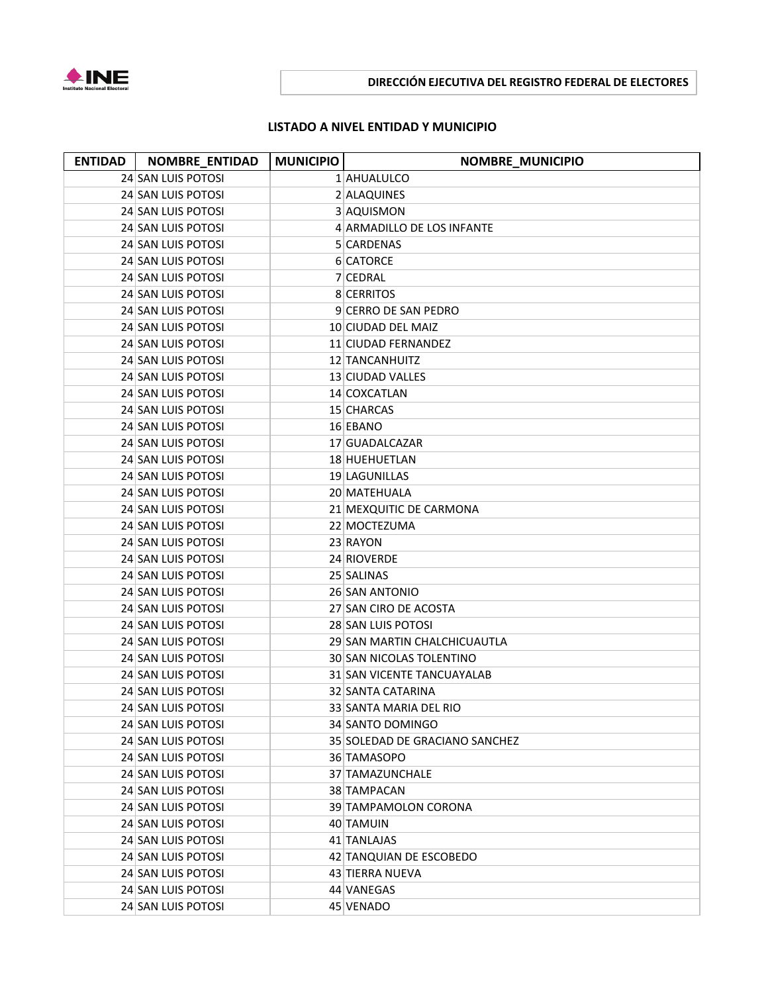

## **DIRECCIÓN EJECUTIVA DEL REGISTRO FEDERAL DE ELECTORES**

## **LISTADO A NIVEL ENTIDAD Y MUNICIPIO**

| <b>ENTIDAD</b> | NOMBRE_ENTIDAD     | <b>MUNICIPIO</b> | <b>NOMBRE_MUNICIPIO</b>        |
|----------------|--------------------|------------------|--------------------------------|
|                | 24 SAN LUIS POTOSI |                  | 1 AHUALULCO                    |
|                | 24 SAN LUIS POTOSI |                  | 2 ALAQUINES                    |
|                | 24 SAN LUIS POTOSI |                  | 3 AQUISMON                     |
|                | 24 SAN LUIS POTOSI |                  | 4 ARMADILLO DE LOS INFANTE     |
|                | 24 SAN LUIS POTOSI |                  | 5 CARDENAS                     |
|                | 24 SAN LUIS POTOSI |                  | 6 CATORCE                      |
|                | 24 SAN LUIS POTOSI |                  | 7 CEDRAL                       |
|                | 24 SAN LUIS POTOSI |                  | 8 CERRITOS                     |
|                | 24 SAN LUIS POTOSI |                  | 9 CERRO DE SAN PEDRO           |
|                | 24 SAN LUIS POTOSI |                  | 10 CIUDAD DEL MAIZ             |
|                | 24 SAN LUIS POTOSI |                  | 11 CIUDAD FERNANDEZ            |
|                | 24 SAN LUIS POTOSI |                  | 12 TANCANHUITZ                 |
|                | 24 SAN LUIS POTOSI |                  | 13 CIUDAD VALLES               |
|                | 24 SAN LUIS POTOSI |                  | 14 COXCATLAN                   |
|                | 24 SAN LUIS POTOSI |                  | 15 CHARCAS                     |
|                | 24 SAN LUIS POTOSI |                  | 16 EBANO                       |
|                | 24 SAN LUIS POTOSI |                  | 17 GUADALCAZAR                 |
|                | 24 SAN LUIS POTOSI |                  | 18 HUEHUETLAN                  |
|                | 24 SAN LUIS POTOSI |                  | 19 LAGUNILLAS                  |
|                | 24 SAN LUIS POTOSI |                  | 20 MATEHUALA                   |
|                | 24 SAN LUIS POTOSI |                  | 21 MEXQUITIC DE CARMONA        |
|                | 24 SAN LUIS POTOSI |                  | 22 MOCTEZUMA                   |
|                | 24 SAN LUIS POTOSI |                  | 23 RAYON                       |
|                | 24 SAN LUIS POTOSI |                  | 24 RIOVERDE                    |
|                | 24 SAN LUIS POTOSI |                  | 25 SALINAS                     |
|                | 24 SAN LUIS POTOSI |                  | 26 SAN ANTONIO                 |
|                | 24 SAN LUIS POTOSI |                  | 27 SAN CIRO DE ACOSTA          |
|                | 24 SAN LUIS POTOSI |                  | 28 SAN LUIS POTOSI             |
|                | 24 SAN LUIS POTOSI |                  | 29 SAN MARTIN CHALCHICUAUTLA   |
|                | 24 SAN LUIS POTOSI |                  | 30 SAN NICOLAS TOLENTINO       |
|                | 24 SAN LUIS POTOSI |                  | 31 SAN VICENTE TANCUAYALAB     |
|                | 24 SAN LUIS POTOSI |                  | 32 SANTA CATARINA              |
|                | 24 SAN LUIS POTOSI |                  | 33 SANTA MARIA DEL RIO         |
|                | 24 SAN LUIS POTOSI |                  | 34 SANTO DOMINGO               |
|                | 24 SAN LUIS POTOSI |                  | 35 SOLEDAD DE GRACIANO SANCHEZ |
|                | 24 SAN LUIS POTOSI |                  | 36 TAMASOPO                    |
|                | 24 SAN LUIS POTOSI |                  | 37 TAMAZUNCHALE                |
|                | 24 SAN LUIS POTOSI |                  | 38 TAMPACAN                    |
|                | 24 SAN LUIS POTOSI |                  | 39 TAMPAMOLON CORONA           |
|                | 24 SAN LUIS POTOSI |                  | 40 TAMUIN                      |
|                | 24 SAN LUIS POTOSI |                  | 41 TANLAJAS                    |
|                | 24 SAN LUIS POTOSI |                  | 42 TANQUIAN DE ESCOBEDO        |
|                | 24 SAN LUIS POTOSI |                  | 43 TIERRA NUEVA                |
|                | 24 SAN LUIS POTOSI |                  | 44 VANEGAS                     |
|                | 24 SAN LUIS POTOSI |                  | 45 VENADO                      |